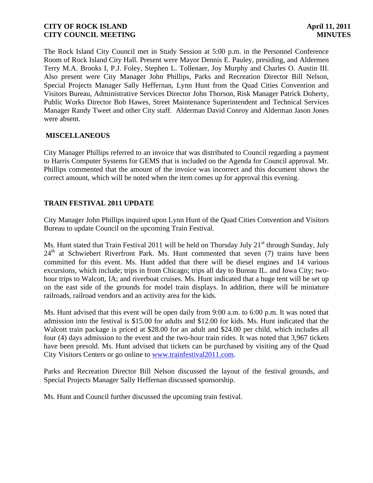The Rock Island City Council met in Study Session at 5:00 p.m. in the Personnel Conference Room of Rock Island City Hall. Present were Mayor Dennis E. Pauley, presiding, and Aldermen Terry M.A. Brooks I, P.J. Foley, Stephen L. Tollenaer, Joy Murphy and Charles O. Austin III. Also present were City Manager John Phillips, Parks and Recreation Director Bill Nelson, Special Projects Manager Sally Heffernan, Lynn Hunt from the Quad Cities Convention and Visitors Bureau, Administrative Services Director John Thorson, Risk Manager Patrick Doherty, Public Works Director Bob Hawes, Street Maintenance Superintendent and Technical Services Manager Randy Tweet and other City staff. Alderman David Conroy and Alderman Jason Jones were absent.

### **MISCELLANEOUS**

City Manager Phillips referred to an invoice that was distributed to Council regarding a payment to Harris Computer Systems for GEMS that is included on the Agenda for Council approval. Mr. Phillips commented that the amount of the invoice was incorrect and this document shows the correct amount, which will be noted when the item comes up for approval this evening.

## **TRAIN FESTIVAL 2011 UPDATE**

City Manager John Phillips inquired upon Lynn Hunt of the Quad Cities Convention and Visitors Bureau to update Council on the upcoming Train Festival.

Ms. Hunt stated that Train Festival 2011 will be held on Thursday July  $21<sup>st</sup>$  through Sunday, July  $24<sup>th</sup>$  at Schwiebert Riverfront Park. Ms. Hunt commented that seven (7) trains have been committed for this event. Ms. Hunt added that there will be diesel engines and 14 various excursions, which include; trips in from Chicago; trips all day to Bureau IL. and Iowa City; twohour trips to Walcott, IA; and riverboat cruises. Ms. Hunt indicated that a huge tent will be set up on the east side of the grounds for model train displays. In addition, there will be miniature railroads, railroad vendors and an activity area for the kids.

Ms. Hunt advised that this event will be open daily from 9:00 a.m. to 6:00 p.m. It was noted that admission into the festival is \$15.00 for adults and \$12.00 for kids. Ms. Hunt indicated that the Walcott train package is priced at \$28.00 for an adult and \$24.00 per child, which includes all four (4) days admission to the event and the two-hour train rides. It was noted that 3,967 tickets have been presold. Ms. Hunt advised that tickets can be purchased by visiting any of the Quad City Visitors Centers or go online to [www.trainfestival2011.com.](http://www.trainfestival2011.com/)

Parks and Recreation Director Bill Nelson discussed the layout of the festival grounds, and Special Projects Manager Sally Heffernan discussed sponsorship.

Ms. Hunt and Council further discussed the upcoming train festival.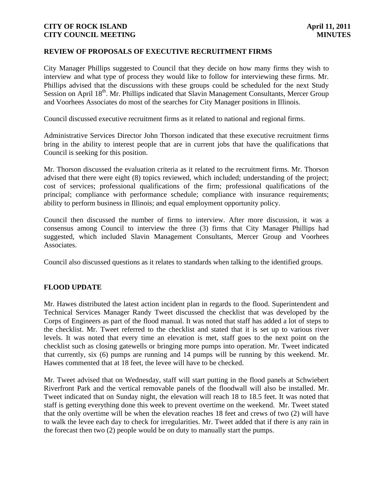#### **REVIEW OF PROPOSALS OF EXECUTIVE RECRUITMENT FIRMS**

City Manager Phillips suggested to Council that they decide on how many firms they wish to interview and what type of process they would like to follow for interviewing these firms. Mr. Phillips advised that the discussions with these groups could be scheduled for the next Study Session on April 18<sup>th</sup>. Mr. Phillips indicated that Slavin Management Consultants, Mercer Group and Voorhees Associates do most of the searches for City Manager positions in Illinois.

Council discussed executive recruitment firms as it related to national and regional firms.

Administrative Services Director John Thorson indicated that these executive recruitment firms bring in the ability to interest people that are in current jobs that have the qualifications that Council is seeking for this position.

Mr. Thorson discussed the evaluation criteria as it related to the recruitment firms. Mr. Thorson advised that there were eight (8) topics reviewed, which included; understanding of the project; cost of services; professional qualifications of the firm; professional qualifications of the principal; compliance with performance schedule; compliance with insurance requirements; ability to perform business in Illinois; and equal employment opportunity policy.

Council then discussed the number of firms to interview. After more discussion, it was a consensus among Council to interview the three (3) firms that City Manager Phillips had suggested, which included Slavin Management Consultants, Mercer Group and Voorhees Associates.

Council also discussed questions as it relates to standards when talking to the identified groups.

#### **FLOOD UPDATE**

Mr. Hawes distributed the latest action incident plan in regards to the flood. Superintendent and Technical Services Manager Randy Tweet discussed the checklist that was developed by the Corps of Engineers as part of the flood manual. It was noted that staff has added a lot of steps to the checklist. Mr. Tweet referred to the checklist and stated that it is set up to various river levels. It was noted that every time an elevation is met, staff goes to the next point on the checklist such as closing gatewells or bringing more pumps into operation. Mr. Tweet indicated that currently, six (6) pumps are running and 14 pumps will be running by this weekend. Mr. Hawes commented that at 18 feet, the levee will have to be checked.

Mr. Tweet advised that on Wednesday, staff will start putting in the flood panels at Schwiebert Riverfront Park and the vertical removable panels of the floodwall will also be installed. Mr. Tweet indicated that on Sunday night, the elevation will reach 18 to 18.5 feet. It was noted that staff is getting everything done this week to prevent overtime on the weekend. Mr. Tweet stated that the only overtime will be when the elevation reaches 18 feet and crews of two (2) will have to walk the levee each day to check for irregularities. Mr. Tweet added that if there is any rain in the forecast then two (2) people would be on duty to manually start the pumps.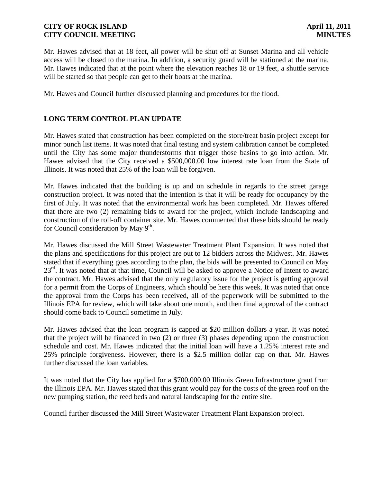Mr. Hawes advised that at 18 feet, all power will be shut off at Sunset Marina and all vehicle access will be closed to the marina. In addition, a security guard will be stationed at the marina. Mr. Hawes indicated that at the point where the elevation reaches 18 or 19 feet, a shuttle service will be started so that people can get to their boats at the marina.

Mr. Hawes and Council further discussed planning and procedures for the flood.

### **LONG TERM CONTROL PLAN UPDATE**

Mr. Hawes stated that construction has been completed on the store/treat basin project except for minor punch list items. It was noted that final testing and system calibration cannot be completed until the City has some major thunderstorms that trigger those basins to go into action. Mr. Hawes advised that the City received a \$500,000.00 low interest rate loan from the State of Illinois. It was noted that 25% of the loan will be forgiven.

Mr. Hawes indicated that the building is up and on schedule in regards to the street garage construction project. It was noted that the intention is that it will be ready for occupancy by the first of July. It was noted that the environmental work has been completed. Mr. Hawes offered that there are two (2) remaining bids to award for the project, which include landscaping and construction of the roll-off container site. Mr. Hawes commented that these bids should be ready for Council consideration by May  $9<sup>th</sup>$ .

Mr. Hawes discussed the Mill Street Wastewater Treatment Plant Expansion. It was noted that the plans and specifications for this project are out to 12 bidders across the Midwest. Mr. Hawes stated that if everything goes according to the plan, the bids will be presented to Council on May  $23<sup>rd</sup>$ . It was noted that at that time, Council will be asked to approve a Notice of Intent to award the contract. Mr. Hawes advised that the only regulatory issue for the project is getting approval for a permit from the Corps of Engineers, which should be here this week. It was noted that once the approval from the Corps has been received, all of the paperwork will be submitted to the Illinois EPA for review, which will take about one month, and then final approval of the contract should come back to Council sometime in July.

Mr. Hawes advised that the loan program is capped at \$20 million dollars a year. It was noted that the project will be financed in two (2) or three (3) phases depending upon the construction schedule and cost. Mr. Hawes indicated that the initial loan will have a 1.25% interest rate and 25% principle forgiveness. However, there is a \$2.5 million dollar cap on that. Mr. Hawes further discussed the loan variables.

It was noted that the City has applied for a \$700,000.00 Illinois Green Infrastructure grant from the Illinois EPA. Mr. Hawes stated that this grant would pay for the costs of the green roof on the new pumping station, the reed beds and natural landscaping for the entire site.

Council further discussed the Mill Street Wastewater Treatment Plant Expansion project.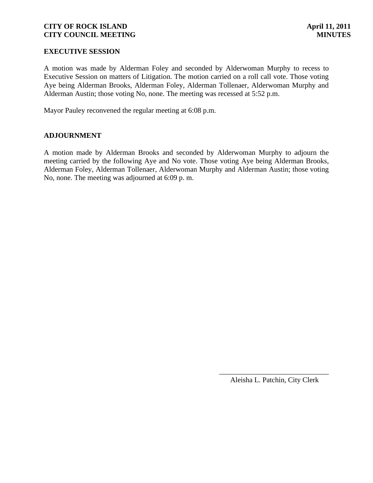### **EXECUTIVE SESSION**

A motion was made by Alderman Foley and seconded by Alderwoman Murphy to recess to Executive Session on matters of Litigation. The motion carried on a roll call vote. Those voting Aye being Alderman Brooks, Alderman Foley, Alderman Tollenaer, Alderwoman Murphy and Alderman Austin; those voting No, none. The meeting was recessed at 5:52 p.m.

Mayor Pauley reconvened the regular meeting at 6:08 p.m.

#### **ADJOURNMENT**

A motion made by Alderman Brooks and seconded by Alderwoman Murphy to adjourn the meeting carried by the following Aye and No vote. Those voting Aye being Alderman Brooks, Alderman Foley, Alderman Tollenaer, Alderwoman Murphy and Alderman Austin; those voting No, none. The meeting was adjourned at 6:09 p. m.

> \_\_\_\_\_\_\_\_\_\_\_\_\_\_\_\_\_\_\_\_\_\_\_\_\_\_\_\_\_\_ Aleisha L. Patchin, City Clerk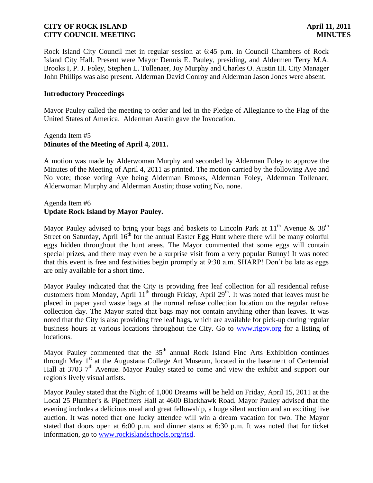Rock Island City Council met in regular session at 6:45 p.m. in Council Chambers of Rock Island City Hall. Present were Mayor Dennis E. Pauley, presiding, and Aldermen Terry M.A. Brooks I, P. J. Foley, Stephen L. Tollenaer, Joy Murphy and Charles O. Austin III. City Manager John Phillips was also present. Alderman David Conroy and Alderman Jason Jones were absent.

#### **Introductory Proceedings**

Mayor Pauley called the meeting to order and led in the Pledge of Allegiance to the Flag of the United States of America. Alderman Austin gave the Invocation.

#### Agenda Item #5 **Minutes of the Meeting of April 4, 2011.**

A motion was made by Alderwoman Murphy and seconded by Alderman Foley to approve the Minutes of the Meeting of April 4, 2011 as printed. The motion carried by the following Aye and No vote; those voting Aye being Alderman Brooks, Alderman Foley, Alderman Tollenaer, Alderwoman Murphy and Alderman Austin; those voting No, none.

### Agenda Item #6 **Update Rock Island by Mayor Pauley.**

Mayor Pauley advised to bring your bags and baskets to Lincoln Park at  $11<sup>th</sup>$  Avenue & 38<sup>th</sup> Street on Saturday, April  $16<sup>th</sup>$  for the annual Easter Egg Hunt where there will be many colorful eggs hidden throughout the hunt areas. The Mayor commented that some eggs will contain special prizes, and there may even be a surprise visit from a very popular Bunny! It was noted that this event is free and festivities begin promptly at 9:30 a.m. SHARP! Don't be late as eggs are only available for a short time.

Mayor Pauley indicated that the City is providing free leaf collection for all residential refuse customers from Monday, April  $11<sup>th</sup>$  through Friday, April  $29<sup>th</sup>$ . It was noted that leaves must be placed in paper yard waste bags at the normal refuse collection location on the regular refuse collection day. The Mayor stated that bags may not contain anything other than leaves. It was noted that the City is also providing free leaf bags**,** which are available for pick-up during regular business hours at various locations throughout the City. Go to [www.rigov.org](http://www.rigov.org/) for a listing of locations.

Mayor Pauley commented that the  $35<sup>th</sup>$  annual Rock Island Fine Arts Exhibition continues through May 1<sup>st</sup> at the Augustana College Art Museum, located in the basement of Centennial Hall at 3703  $7<sup>th</sup>$  Avenue. Mayor Pauley stated to come and view the exhibit and support our region's lively visual artists.

Mayor Pauley stated that the Night of 1,000 Dreams will be held on Friday, April 15, 2011 at the Local 25 Plumber's & Pipefitters Hall at 4600 Blackhawk Road. Mayor Pauley advised that the evening includes a delicious meal and great fellowship, a huge silent auction and an exciting live auction. It was noted that one lucky attendee will win a dream vacation for two. The Mayor stated that doors open at 6:00 p.m. and dinner starts at 6:30 p.m. It was noted that for ticket information, go to [www.rockislandschools.org/risd.](http://www.rockislandschools.org/risd)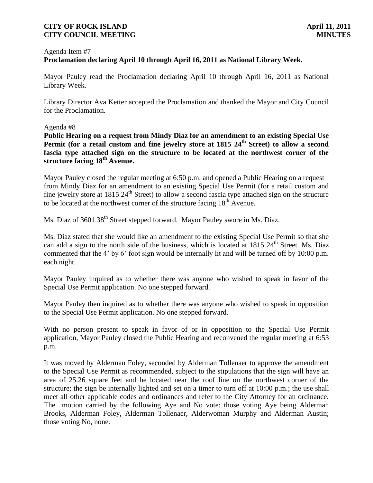### Agenda Item #7 **Proclamation declaring April 10 through April 16, 2011 as National Library Week.**

Mayor Pauley read the Proclamation declaring April 10 through April 16, 2011 as National Library Week.

Library Director Ava Ketter accepted the Proclamation and thanked the Mayor and City Council for the Proclamation.

Agenda #8

**Public Hearing on a request from Mindy Diaz for an amendment to an existing Special Use Permit (for a retail custom and fine jewelry store at 1815 24th Street) to allow a second fascia type attached sign on the structure to be located at the northwest corner of the structure facing 18th Avenue.**

Mayor Pauley closed the regular meeting at 6:50 p.m. and opened a Public Hearing on a request from Mindy Diaz for an amendment to an existing Special Use Permit (for a retail custom and fine jewelry store at 1815  $24<sup>th</sup>$  Street) to allow a second fascia type attached sign on the structure to be located at the northwest corner of the structure facing  $18<sup>th</sup>$  Avenue.

Ms. Diaz of 3601 38<sup>th</sup> Street stepped forward. Mayor Pauley swore in Ms. Diaz.

Ms. Diaz stated that she would like an amendment to the existing Special Use Permit so that she can add a sign to the north side of the business, which is located at  $1815 \, 24^{\text{th}}$  Street. Ms. Diaz commented that the 4' by 6' foot sign would be internally lit and will be turned off by 10:00 p.m. each night.

Mayor Pauley inquired as to whether there was anyone who wished to speak in favor of the Special Use Permit application. No one stepped forward.

Mayor Pauley then inquired as to whether there was anyone who wished to speak in opposition to the Special Use Permit application. No one stepped forward.

With no person present to speak in favor of or in opposition to the Special Use Permit application, Mayor Pauley closed the Public Hearing and reconvened the regular meeting at 6:53 p.m.

It was moved by Alderman Foley, seconded by Alderman Tollenaer to approve the amendment to the Special Use Permit as recommended, subject to the stipulations that the sign will have an area of 25.26 square feet and be located near the roof line on the northwest corner of the structure; the sign be internally lighted and set on a timer to turn off at 10:00 p.m.; the use shall meet all other applicable codes and ordinances and refer to the City Attorney for an ordinance. The motion carried by the following Aye and No vote: those voting Aye being Alderman Brooks, Alderman Foley, Alderman Tollenaer, Alderwoman Murphy and Alderman Austin; those voting No, none.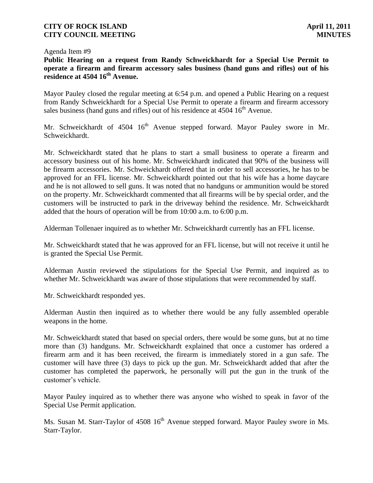#### Agenda Item #9

**Public Hearing on a request from Randy Schweickhardt for a Special Use Permit to operate a firearm and firearm accessory sales business (hand guns and rifles) out of his residence at 4504 16th Avenue.**

Mayor Pauley closed the regular meeting at 6:54 p.m. and opened a Public Hearing on a request from Randy Schweickhardt for a Special Use Permit to operate a firearm and firearm accessory sales business (hand guns and rifles) out of his residence at  $4504 \times 16^{th}$  Avenue.

Mr. Schweickhardt of  $4504 \, 16^{th}$  Avenue stepped forward. Mayor Pauley swore in Mr. Schweickhardt.

Mr. Schweickhardt stated that he plans to start a small business to operate a firearm and accessory business out of his home. Mr. Schweickhardt indicated that 90% of the business will be firearm accessories. Mr. Schweickhardt offered that in order to sell accessories, he has to be approved for an FFL license. Mr. Schweickhardt pointed out that his wife has a home daycare and he is not allowed to sell guns. It was noted that no handguns or ammunition would be stored on the property. Mr. Schweickhardt commented that all firearms will be by special order, and the customers will be instructed to park in the driveway behind the residence. Mr. Schweickhardt added that the hours of operation will be from 10:00 a.m. to 6:00 p.m.

Alderman Tollenaer inquired as to whether Mr. Schweickhardt currently has an FFL license.

Mr. Schweickhardt stated that he was approved for an FFL license, but will not receive it until he is granted the Special Use Permit.

Alderman Austin reviewed the stipulations for the Special Use Permit, and inquired as to whether Mr. Schweickhardt was aware of those stipulations that were recommended by staff.

Mr. Schweickhardt responded yes.

Alderman Austin then inquired as to whether there would be any fully assembled operable weapons in the home.

Mr. Schweickhardt stated that based on special orders, there would be some guns, but at no time more than (3) handguns. Mr. Schweickhardt explained that once a customer has ordered a firearm arm and it has been received, the firearm is immediately stored in a gun safe. The customer will have three (3) days to pick up the gun. Mr. Schweickhardt added that after the customer has completed the paperwork, he personally will put the gun in the trunk of the customer's vehicle.

Mayor Pauley inquired as to whether there was anyone who wished to speak in favor of the Special Use Permit application.

Ms. Susan M. Starr-Taylor of 4508 16<sup>th</sup> Avenue stepped forward. Mayor Pauley swore in Ms. Starr-Taylor.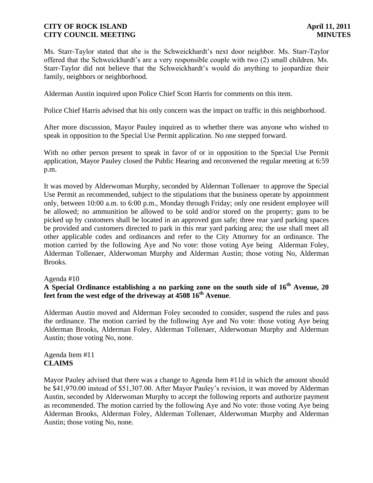Ms. Starr-Taylor stated that she is the Schweickhardt's next door neighbor. Ms. Starr-Taylor offered that the Schweickhardt's are a very responsible couple with two (2) small children. Ms. Starr-Taylor did not believe that the Schweickhardt's would do anything to jeopardize their family, neighbors or neighborhood.

Alderman Austin inquired upon Police Chief Scott Harris for comments on this item.

Police Chief Harris advised that his only concern was the impact on traffic in this neighborhood.

After more discussion, Mayor Pauley inquired as to whether there was anyone who wished to speak in opposition to the Special Use Permit application. No one stepped forward.

With no other person present to speak in favor of or in opposition to the Special Use Permit application, Mayor Pauley closed the Public Hearing and reconvened the regular meeting at 6:59 p.m.

It was moved by Alderwoman Murphy, seconded by Alderman Tollenaer to approve the Special Use Permit as recommended, subject to the stipulations that the business operate by appointment only, between 10:00 a.m. to 6:00 p.m., Monday through Friday; only one resident employee will be allowed; no ammunition be allowed to be sold and/or stored on the property; guns to be picked up by customers shall be located in an approved gun safe; three rear yard parking spaces be provided and customers directed to park in this rear yard parking area; the use shall meet all other applicable codes and ordinances and refer to the City Attorney for an ordinance. The motion carried by the following Aye and No vote: those voting Aye being Alderman Foley, Alderman Tollenaer, Alderwoman Murphy and Alderman Austin; those voting No, Alderman Brooks.

#### Agenda #10

# **A Special Ordinance establishing a no parking zone on the south side of 16th Avenue, 20 feet from the west edge of the driveway at 4508 16th Avenue**.

Alderman Austin moved and Alderman Foley seconded to consider, suspend the rules and pass the ordinance. The motion carried by the following Aye and No vote: those voting Aye being Alderman Brooks, Alderman Foley, Alderman Tollenaer, Alderwoman Murphy and Alderman Austin; those voting No, none.

Agenda Item #11 **CLAIMS**

Mayor Pauley advised that there was a change to Agenda Item #11d in which the amount should be \$41,970.00 instead of \$51,307.00. After Mayor Pauley's revision, it was moved by Alderman Austin, seconded by Alderwoman Murphy to accept the following reports and authorize payment as recommended. The motion carried by the following Aye and No vote: those voting Aye being Alderman Brooks, Alderman Foley, Alderman Tollenaer, Alderwoman Murphy and Alderman Austin; those voting No, none.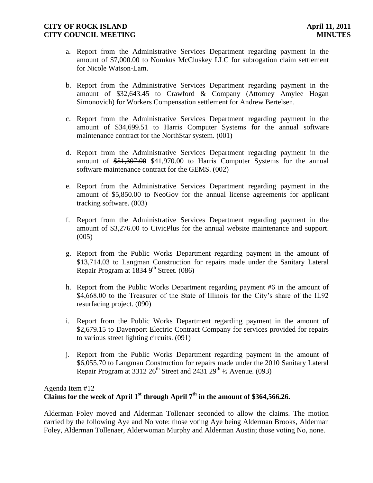- a. Report from the Administrative Services Department regarding payment in the amount of \$7,000.00 to Nomkus McCluskey LLC for subrogation claim settlement for Nicole Watson-Lam.
- b. Report from the Administrative Services Department regarding payment in the amount of \$32,643.45 to Crawford & Company (Attorney Amylee Hogan Simonovich) for Workers Compensation settlement for Andrew Bertelsen.
- c. Report from the Administrative Services Department regarding payment in the amount of \$34,699.51 to Harris Computer Systems for the annual software maintenance contract for the NorthStar system. (001)
- d. Report from the Administrative Services Department regarding payment in the amount of \$51,307.00 \$41,970.00 to Harris Computer Systems for the annual software maintenance contract for the GEMS. (002)
- e. Report from the Administrative Services Department regarding payment in the amount of \$5,850.00 to NeoGov for the annual license agreements for applicant tracking software. (003)
- f. Report from the Administrative Services Department regarding payment in the amount of \$3,276.00 to CivicPlus for the annual website maintenance and support.  $(005)$
- g. Report from the Public Works Department regarding payment in the amount of \$13,714.03 to Langman Construction for repairs made under the Sanitary Lateral Repair Program at  $18349^{\text{th}}$  Street. (086)
- h. Report from the Public Works Department regarding payment #6 in the amount of \$4,668.00 to the Treasurer of the State of Illinois for the City's share of the IL92 resurfacing project. (090)
- i. Report from the Public Works Department regarding payment in the amount of \$2,679.15 to Davenport Electric Contract Company for services provided for repairs to various street lighting circuits. (091)
- j. Report from the Public Works Department regarding payment in the amount of \$6,055.70 to Langman Construction for repairs made under the 2010 Sanitary Lateral Repair Program at 3312  $26^{th}$  Street and 2431  $29^{th}$  1/2 Avenue. (093)

# Agenda Item #12 Claims for the week of April  $1<sup>st</sup>$  through April  $7<sup>th</sup>$  in the amount of \$364,566.26.

Alderman Foley moved and Alderman Tollenaer seconded to allow the claims. The motion carried by the following Aye and No vote: those voting Aye being Alderman Brooks, Alderman Foley, Alderman Tollenaer, Alderwoman Murphy and Alderman Austin; those voting No, none.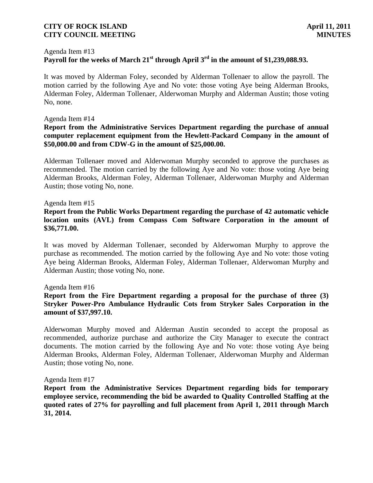#### Agenda Item #13

# **Payroll for the weeks of March 21st through April 3rd in the amount of \$1,239,088.93.**

It was moved by Alderman Foley, seconded by Alderman Tollenaer to allow the payroll. The motion carried by the following Aye and No vote: those voting Aye being Alderman Brooks, Alderman Foley, Alderman Tollenaer, Alderwoman Murphy and Alderman Austin; those voting No, none.

#### Agenda Item #14

#### **Report from the Administrative Services Department regarding the purchase of annual computer replacement equipment from the Hewlett-Packard Company in the amount of \$50,000.00 and from CDW-G in the amount of \$25,000.00.**

Alderman Tollenaer moved and Alderwoman Murphy seconded to approve the purchases as recommended. The motion carried by the following Aye and No vote: those voting Aye being Alderman Brooks, Alderman Foley, Alderman Tollenaer, Alderwoman Murphy and Alderman Austin; those voting No, none.

Agenda Item #15

#### **Report from the Public Works Department regarding the purchase of 42 automatic vehicle location units (AVL) from Compass Com Software Corporation in the amount of \$36,771.00.**

It was moved by Alderman Tollenaer, seconded by Alderwoman Murphy to approve the purchase as recommended. The motion carried by the following Aye and No vote: those voting Aye being Alderman Brooks, Alderman Foley, Alderman Tollenaer, Alderwoman Murphy and Alderman Austin; those voting No, none.

#### Agenda Item #16

### **Report from the Fire Department regarding a proposal for the purchase of three (3) Stryker Power-Pro Ambulance Hydraulic Cots from Stryker Sales Corporation in the amount of \$37,997.10.**

Alderwoman Murphy moved and Alderman Austin seconded to accept the proposal as recommended, authorize purchase and authorize the City Manager to execute the contract documents. The motion carried by the following Aye and No vote: those voting Aye being Alderman Brooks, Alderman Foley, Alderman Tollenaer, Alderwoman Murphy and Alderman Austin; those voting No, none.

#### Agenda Item #17

**Report from the Administrative Services Department regarding bids for temporary employee service, recommending the bid be awarded to Quality Controlled Staffing at the quoted rates of 27% for payrolling and full placement from April 1, 2011 through March 31, 2014.**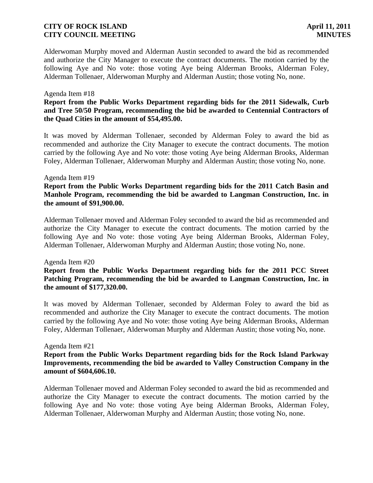Alderwoman Murphy moved and Alderman Austin seconded to award the bid as recommended and authorize the City Manager to execute the contract documents. The motion carried by the following Aye and No vote: those voting Aye being Alderman Brooks, Alderman Foley, Alderman Tollenaer, Alderwoman Murphy and Alderman Austin; those voting No, none.

#### Agenda Item #18

### **Report from the Public Works Department regarding bids for the 2011 Sidewalk, Curb and Tree 50/50 Program, recommending the bid be awarded to Centennial Contractors of the Quad Cities in the amount of \$54,495.00.**

It was moved by Alderman Tollenaer, seconded by Alderman Foley to award the bid as recommended and authorize the City Manager to execute the contract documents. The motion carried by the following Aye and No vote: those voting Aye being Alderman Brooks, Alderman Foley, Alderman Tollenaer, Alderwoman Murphy and Alderman Austin; those voting No, none.

#### Agenda Item #19

#### **Report from the Public Works Department regarding bids for the 2011 Catch Basin and Manhole Program, recommending the bid be awarded to Langman Construction, Inc. in the amount of \$91,900.00.**

Alderman Tollenaer moved and Alderman Foley seconded to award the bid as recommended and authorize the City Manager to execute the contract documents. The motion carried by the following Aye and No vote: those voting Aye being Alderman Brooks, Alderman Foley, Alderman Tollenaer, Alderwoman Murphy and Alderman Austin; those voting No, none.

#### Agenda Item #20

#### **Report from the Public Works Department regarding bids for the 2011 PCC Street Patching Program, recommending the bid be awarded to Langman Construction, Inc. in the amount of \$177,320.00.**

It was moved by Alderman Tollenaer, seconded by Alderman Foley to award the bid as recommended and authorize the City Manager to execute the contract documents. The motion carried by the following Aye and No vote: those voting Aye being Alderman Brooks, Alderman Foley, Alderman Tollenaer, Alderwoman Murphy and Alderman Austin; those voting No, none.

#### Agenda Item #21

### **Report from the Public Works Department regarding bids for the Rock Island Parkway Improvements, recommending the bid be awarded to Valley Construction Company in the amount of \$604,606.10.**

Alderman Tollenaer moved and Alderman Foley seconded to award the bid as recommended and authorize the City Manager to execute the contract documents. The motion carried by the following Aye and No vote: those voting Aye being Alderman Brooks, Alderman Foley, Alderman Tollenaer, Alderwoman Murphy and Alderman Austin; those voting No, none.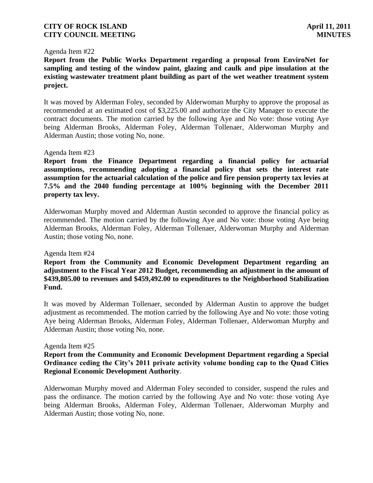#### Agenda Item #22

**Report from the Public Works Department regarding a proposal from EnviroNet for sampling and testing of the window paint, glazing and caulk and pipe insulation at the existing wastewater treatment plant building as part of the wet weather treatment system project.**

It was moved by Alderman Foley, seconded by Alderwoman Murphy to approve the proposal as recommended at an estimated cost of \$3,225.00 and authorize the City Manager to execute the contract documents. The motion carried by the following Aye and No vote: those voting Aye being Alderman Brooks, Alderman Foley, Alderman Tollenaer, Alderwoman Murphy and Alderman Austin; those voting No, none.

#### Agenda Item #23

**Report from the Finance Department regarding a financial policy for actuarial assumptions, recommending adopting a financial policy that sets the interest rate assumption for the actuarial calculation of the police and fire pension property tax levies at 7.5% and the 2040 funding percentage at 100% beginning with the December 2011 property tax levy.**

Alderwoman Murphy moved and Alderman Austin seconded to approve the financial policy as recommended. The motion carried by the following Aye and No vote: those voting Aye being Alderman Brooks, Alderman Foley, Alderman Tollenaer, Alderwoman Murphy and Alderman Austin; those voting No, none.

#### Agenda Item #24

**Report from the Community and Economic Development Department regarding an adjustment to the Fiscal Year 2012 Budget, recommending an adjustment in the amount of \$439,805.00 to revenues and \$459,492.00 to expenditures to the Neighborhood Stabilization Fund.**

It was moved by Alderman Tollenaer, seconded by Alderman Austin to approve the budget adjustment as recommended. The motion carried by the following Aye and No vote: those voting Aye being Alderman Brooks, Alderman Foley, Alderman Tollenaer, Alderwoman Murphy and Alderman Austin; those voting No, none.

#### Agenda Item #25

### **Report from the Community and Economic Development Department regarding a Special Ordinance ceding the City's 2011 private activity volume bonding cap to the Quad Cities Regional Economic Development Authority**.

Alderwoman Murphy moved and Alderman Foley seconded to consider, suspend the rules and pass the ordinance. The motion carried by the following Aye and No vote: those voting Aye being Alderman Brooks, Alderman Foley, Alderman Tollenaer, Alderwoman Murphy and Alderman Austin; those voting No, none.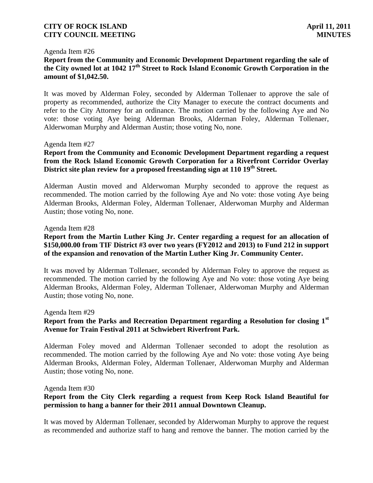#### Agenda Item #26

### **Report from the Community and Economic Development Department regarding the sale of the City owned lot at 1042 17th Street to Rock Island Economic Growth Corporation in the amount of \$1,042.50.**

It was moved by Alderman Foley, seconded by Alderman Tollenaer to approve the sale of property as recommended, authorize the City Manager to execute the contract documents and refer to the City Attorney for an ordinance. The motion carried by the following Aye and No vote: those voting Aye being Alderman Brooks, Alderman Foley, Alderman Tollenaer, Alderwoman Murphy and Alderman Austin; those voting No, none.

#### Agenda Item #27

### **Report from the Community and Economic Development Department regarding a request from the Rock Island Economic Growth Corporation for a Riverfront Corridor Overlay District site plan review for a proposed freestanding sign at 110 19th Street.**

Alderman Austin moved and Alderwoman Murphy seconded to approve the request as recommended. The motion carried by the following Aye and No vote: those voting Aye being Alderman Brooks, Alderman Foley, Alderman Tollenaer, Alderwoman Murphy and Alderman Austin; those voting No, none.

#### Agenda Item #28

### **Report from the Martin Luther King Jr. Center regarding a request for an allocation of \$150,000.00 from TIF District #3 over two years (FY2012 and 2013) to Fund 212 in support of the expansion and renovation of the Martin Luther King Jr. Community Center.**

It was moved by Alderman Tollenaer, seconded by Alderman Foley to approve the request as recommended. The motion carried by the following Aye and No vote: those voting Aye being Alderman Brooks, Alderman Foley, Alderman Tollenaer, Alderwoman Murphy and Alderman Austin; those voting No, none.

Agenda Item #29

### **Report from the Parks and Recreation Department regarding a Resolution for closing 1st Avenue for Train Festival 2011 at Schwiebert Riverfront Park.**

Alderman Foley moved and Alderman Tollenaer seconded to adopt the resolution as recommended. The motion carried by the following Aye and No vote: those voting Aye being Alderman Brooks, Alderman Foley, Alderman Tollenaer, Alderwoman Murphy and Alderman Austin; those voting No, none.

Agenda Item #30

### **Report from the City Clerk regarding a request from Keep Rock Island Beautiful for permission to hang a banner for their 2011 annual Downtown Cleanup.**

It was moved by Alderman Tollenaer, seconded by Alderwoman Murphy to approve the request as recommended and authorize staff to hang and remove the banner. The motion carried by the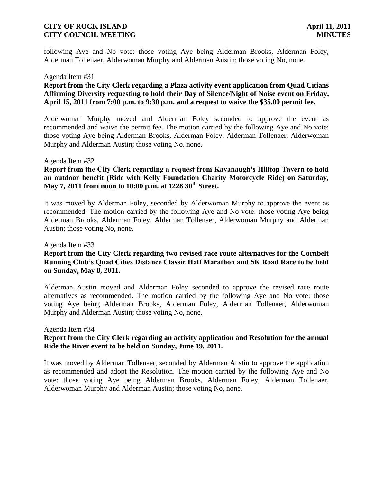following Aye and No vote: those voting Aye being Alderman Brooks, Alderman Foley, Alderman Tollenaer, Alderwoman Murphy and Alderman Austin; those voting No, none.

#### Agenda Item #31

### **Report from the City Clerk regarding a Plaza activity event application from Quad Citians Affirming Diversity requesting to hold their Day of Silence/Night of Noise event on Friday, April 15, 2011 from 7:00 p.m. to 9:30 p.m. and a request to waive the \$35.00 permit fee.**

Alderwoman Murphy moved and Alderman Foley seconded to approve the event as recommended and waive the permit fee. The motion carried by the following Aye and No vote: those voting Aye being Alderman Brooks, Alderman Foley, Alderman Tollenaer, Alderwoman Murphy and Alderman Austin; those voting No, none.

#### Agenda Item #32

#### **Report from the City Clerk regarding a request from Kavanaugh's Hilltop Tavern to hold an outdoor benefit (Ride with Kelly Foundation Charity Motorcycle Ride) on Saturday, May 7, 2011 from noon to 10:00 p.m. at 1228 30th Street.**

It was moved by Alderman Foley, seconded by Alderwoman Murphy to approve the event as recommended. The motion carried by the following Aye and No vote: those voting Aye being Alderman Brooks, Alderman Foley, Alderman Tollenaer, Alderwoman Murphy and Alderman Austin; those voting No, none.

Agenda Item #33

### **Report from the City Clerk regarding two revised race route alternatives for the Cornbelt Running Club's Quad Cities Distance Classic Half Marathon and 5K Road Race to be held on Sunday, May 8, 2011.**

Alderman Austin moved and Alderman Foley seconded to approve the revised race route alternatives as recommended. The motion carried by the following Aye and No vote: those voting Aye being Alderman Brooks, Alderman Foley, Alderman Tollenaer, Alderwoman Murphy and Alderman Austin; those voting No, none.

#### Agenda Item #34

### **Report from the City Clerk regarding an activity application and Resolution for the annual Ride the River event to be held on Sunday, June 19, 2011.**

It was moved by Alderman Tollenaer, seconded by Alderman Austin to approve the application as recommended and adopt the Resolution. The motion carried by the following Aye and No vote: those voting Aye being Alderman Brooks, Alderman Foley, Alderman Tollenaer, Alderwoman Murphy and Alderman Austin; those voting No, none.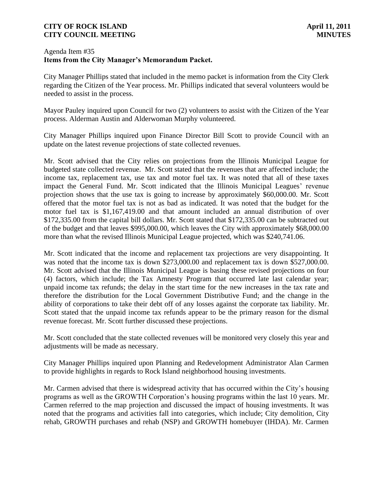### Agenda Item #35 **Items from the City Manager's Memorandum Packet.**

City Manager Phillips stated that included in the memo packet is information from the City Clerk regarding the Citizen of the Year process. Mr. Phillips indicated that several volunteers would be needed to assist in the process.

Mayor Pauley inquired upon Council for two (2) volunteers to assist with the Citizen of the Year process. Alderman Austin and Alderwoman Murphy volunteered.

City Manager Phillips inquired upon Finance Director Bill Scott to provide Council with an update on the latest revenue projections of state collected revenues.

Mr. Scott advised that the City relies on projections from the Illinois Municipal League for budgeted state collected revenue. Mr. Scott stated that the revenues that are affected include; the income tax, replacement tax, use tax and motor fuel tax. It was noted that all of these taxes impact the General Fund. Mr. Scott indicated that the Illinois Municipal Leagues' revenue projection shows that the use tax is going to increase by approximately \$60,000.00. Mr. Scott offered that the motor fuel tax is not as bad as indicated. It was noted that the budget for the motor fuel tax is \$1,167,419.00 and that amount included an annual distribution of over \$172,335.00 from the capital bill dollars. Mr. Scott stated that \$172,335.00 can be subtracted out of the budget and that leaves \$995,000.00, which leaves the City with approximately \$68,000.00 more than what the revised Illinois Municipal League projected, which was \$240,741.06.

Mr. Scott indicated that the income and replacement tax projections are very disappointing. It was noted that the income tax is down \$273,000.00 and replacement tax is down \$527,000.00. Mr. Scott advised that the Illinois Municipal League is basing these revised projections on four (4) factors, which include; the Tax Amnesty Program that occurred late last calendar year; unpaid income tax refunds; the delay in the start time for the new increases in the tax rate and therefore the distribution for the Local Government Distributive Fund; and the change in the ability of corporations to take their debt off of any losses against the corporate tax liability. Mr. Scott stated that the unpaid income tax refunds appear to be the primary reason for the dismal revenue forecast. Mr. Scott further discussed these projections.

Mr. Scott concluded that the state collected revenues will be monitored very closely this year and adjustments will be made as necessary.

City Manager Phillips inquired upon Planning and Redevelopment Administrator Alan Carmen to provide highlights in regards to Rock Island neighborhood housing investments.

Mr. Carmen advised that there is widespread activity that has occurred within the City's housing programs as well as the GROWTH Corporation's housing programs within the last 10 years. Mr. Carmen referred to the map projection and discussed the impact of housing investments. It was noted that the programs and activities fall into categories, which include; City demolition, City rehab, GROWTH purchases and rehab (NSP) and GROWTH homebuyer (IHDA). Mr. Carmen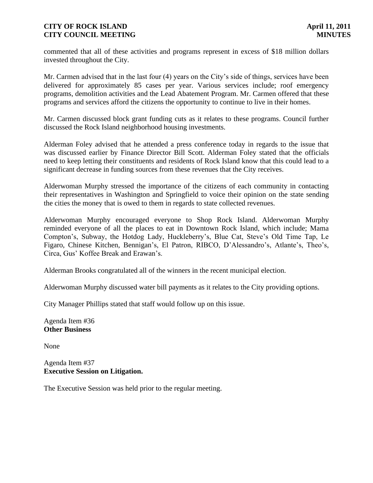commented that all of these activities and programs represent in excess of \$18 million dollars invested throughout the City.

Mr. Carmen advised that in the last four (4) years on the City's side of things, services have been delivered for approximately 85 cases per year. Various services include; roof emergency programs, demolition activities and the Lead Abatement Program. Mr. Carmen offered that these programs and services afford the citizens the opportunity to continue to live in their homes.

Mr. Carmen discussed block grant funding cuts as it relates to these programs. Council further discussed the Rock Island neighborhood housing investments.

Alderman Foley advised that he attended a press conference today in regards to the issue that was discussed earlier by Finance Director Bill Scott. Alderman Foley stated that the officials need to keep letting their constituents and residents of Rock Island know that this could lead to a significant decrease in funding sources from these revenues that the City receives.

Alderwoman Murphy stressed the importance of the citizens of each community in contacting their representatives in Washington and Springfield to voice their opinion on the state sending the cities the money that is owed to them in regards to state collected revenues.

Alderwoman Murphy encouraged everyone to Shop Rock Island. Alderwoman Murphy reminded everyone of all the places to eat in Downtown Rock Island, which include; Mama Compton's, Subway, the Hotdog Lady, Huckleberry's, Blue Cat, Steve's Old Time Tap, Le Figaro, Chinese Kitchen, Bennigan's, El Patron, RIBCO, D'Alessandro's, Atlante's, Theo's, Circa, Gus' Koffee Break and Erawan's.

Alderman Brooks congratulated all of the winners in the recent municipal election.

Alderwoman Murphy discussed water bill payments as it relates to the City providing options.

City Manager Phillips stated that staff would follow up on this issue.

Agenda Item #36 **Other Business**

None

Agenda Item #37 **Executive Session on Litigation.** 

The Executive Session was held prior to the regular meeting.